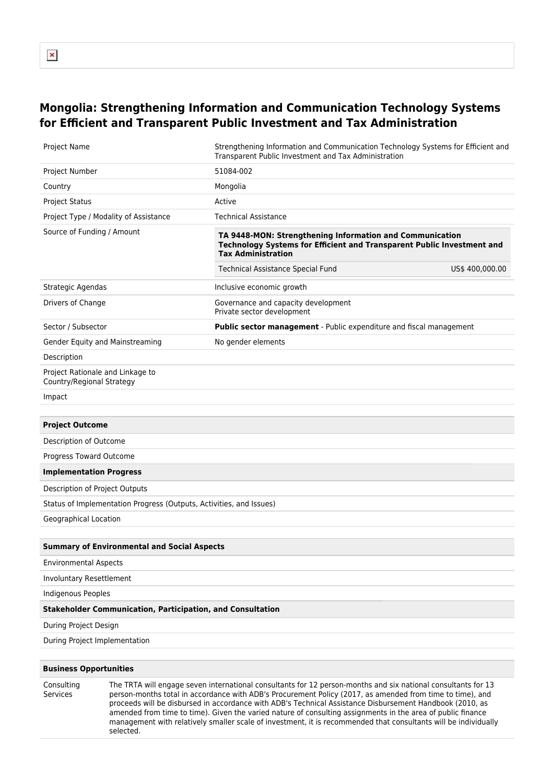## **Mongolia: Strengthening Information and Communication Technology Systems for Efficient and Transparent Public Investment and Tax Administration**

| <b>Project Name</b>                                                 | Strengthening Information and Communication Technology Systems for Efficient and<br>Transparent Public Investment and Tax Administration                        |  |  |  |  |
|---------------------------------------------------------------------|-----------------------------------------------------------------------------------------------------------------------------------------------------------------|--|--|--|--|
| Project Number                                                      | 51084-002                                                                                                                                                       |  |  |  |  |
| Country                                                             | Mongolia                                                                                                                                                        |  |  |  |  |
| <b>Project Status</b>                                               | Active                                                                                                                                                          |  |  |  |  |
| Project Type / Modality of Assistance                               | <b>Technical Assistance</b>                                                                                                                                     |  |  |  |  |
| Source of Funding / Amount                                          | TA 9448-MON: Strengthening Information and Communication<br>Technology Systems for Efficient and Transparent Public Investment and<br><b>Tax Administration</b> |  |  |  |  |
|                                                                     | US\$ 400,000.00<br><b>Technical Assistance Special Fund</b>                                                                                                     |  |  |  |  |
| Strategic Agendas                                                   | Inclusive economic growth                                                                                                                                       |  |  |  |  |
| Drivers of Change                                                   | Governance and capacity development<br>Private sector development                                                                                               |  |  |  |  |
| Sector / Subsector                                                  | Public sector management - Public expenditure and fiscal management                                                                                             |  |  |  |  |
| Gender Equity and Mainstreaming                                     | No gender elements                                                                                                                                              |  |  |  |  |
| Description                                                         |                                                                                                                                                                 |  |  |  |  |
| Project Rationale and Linkage to<br>Country/Regional Strategy       |                                                                                                                                                                 |  |  |  |  |
| Impact                                                              |                                                                                                                                                                 |  |  |  |  |
|                                                                     |                                                                                                                                                                 |  |  |  |  |
| <b>Project Outcome</b>                                              |                                                                                                                                                                 |  |  |  |  |
| Description of Outcome                                              |                                                                                                                                                                 |  |  |  |  |
| Progress Toward Outcome                                             |                                                                                                                                                                 |  |  |  |  |
| <b>Implementation Progress</b>                                      |                                                                                                                                                                 |  |  |  |  |
| Description of Project Outputs                                      |                                                                                                                                                                 |  |  |  |  |
| Status of Implementation Progress (Outputs, Activities, and Issues) |                                                                                                                                                                 |  |  |  |  |
| Geographical Location                                               |                                                                                                                                                                 |  |  |  |  |
|                                                                     |                                                                                                                                                                 |  |  |  |  |
| <b>Summary of Environmental and Social Aspects</b>                  |                                                                                                                                                                 |  |  |  |  |
| <b>Environmental Aspects</b>                                        |                                                                                                                                                                 |  |  |  |  |
| <b>Involuntary Resettlement</b>                                     |                                                                                                                                                                 |  |  |  |  |
| <b>Indigenous Peoples</b>                                           |                                                                                                                                                                 |  |  |  |  |
| <b>Stakeholder Communication, Participation, and Consultation</b>   |                                                                                                                                                                 |  |  |  |  |
| During Project Design                                               |                                                                                                                                                                 |  |  |  |  |
| During Project Implementation                                       |                                                                                                                                                                 |  |  |  |  |
|                                                                     |                                                                                                                                                                 |  |  |  |  |
| <b>Business Opportunities</b>                                       |                                                                                                                                                                 |  |  |  |  |
| $C$ ancultin                                                        | The TDTA will engage coven interprisonal concultants for 12 norsen menths and six pational consultants for 12                                                   |  |  |  |  |

Consulting Services The TRTA will engage seven international consultants for 12 person-months and six national consultants for 13 person-months total in accordance with ADB's Procurement Policy (2017, as amended from time to time), and proceeds will be disbursed in accordance with ADB's Technical Assistance Disbursement Handbook (2010, as amended from time to time). Given the varied nature of consulting assignments in the area of public finance management with relatively smaller scale of investment, it is recommended that consultants will be individually selected.